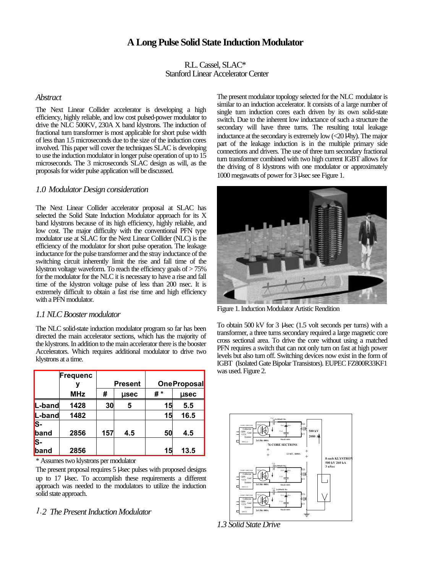# **A Long Pulse Solid State Induction Modulator**

R.L. Cassel, SLAC\* Stanford Linear Accelerator Center

### *Abstract*

The Next Linear Collider accelerator is developing a high efficiency, highly reliable, and low cost pulsed-power modulator to drive the NLC 500KV, 230A X band klystrons. The induction of fractional turn transformer is most applicable for short pulse width of less than 1.5 microseconds due to the size of the induction cores involved. This paper will cover the techniques SLAC is developing to use the induction modulator in longer pulse operation of up to 15 microseconds. The 3 microseconds SLAC design as will, as the proposals for wider pulse application will be discussed.

### *1.0 Modulator Design consideration*

The Next Linear Collider accelerator proposal at SLAC has selected the Solid State Induction Modulator approach for its X band klystrons because of its high efficiency, highly reliable, and low cost. The major difficulty with the conventional PFN type modulator use at SLAC for the Next Linear Collider (NLC) is the efficiency of the modulator for short pulse operation. The leakage inductance for the pulse transformer and the stray inductance of the switching circuit inherently limit the rise and fall time of the klystron voltage waveform. To reach the efficiency goals of > 75% for the modulator for the NLC it is necessary to have a rise and fall time of the klystron voltage pulse of less than 200 nsec. It is extremely difficult to obtain a fast rise time and high efficiency with a PFN modulator.

### *1.1 NLC Booster modulator*

The NLC solid-state induction modulator program so far has been directed the main accelerator sections, which has the majority of the klystrons. In addition to the main accelerator there is the booster Accelerators. Which requires additional modulator to drive two klystrons at a time.

|        | Frequenc   | Present |      | <b>OneProposal</b> |      |
|--------|------------|---------|------|--------------------|------|
|        | <b>MHz</b> | #       | msec | #*                 | msec |
| L-band | 1428       | 30      | 5    | 15                 | 5.5  |
| L-band | 1482       |         |      | 15                 | 16.5 |
| S-     |            |         |      |                    |      |
| band   | 2856       | 157     | 4.5  | 50                 | 4.5  |
| S-     |            |         |      |                    |      |
| band   | 2856       |         |      | 15                 | 13.5 |

\* Assumes two klystrons per modulator

The present proposal requires 5 μsec pulses with proposed designs up to 17 μsec. To accomplish these requirements a different approach was needed to the modulators to utilize the induction solid state approach.

### *1.2 The Present Induction Modulator*

The present modulator topology selected for the NLC modulator is similar to an induction accelerator. It consists of a large number of single turn induction cores each driven by its own solid-state switch. Due to the inherent low inductance of such a structure the secondary will have three turns. The resulting total leakage inductance at the secondary is extremely low (<20 μhy). The major part of the leakage induction is in the multiple primary side connections and drivers. The use of three turn secondary fractional turn transformer combined with two high current IGBT allows for the driving of 8 klystrons with one modulator or approximately 1000 megawatts of power for 3 μsec see Figure 1.



Figure 1. Induction Modulator Artistic Rendition

To obtain 500 kV for 3 μsec (1.5 volt seconds per turns) with a transformer, a three turns secondary required a large magnetic core cross sectional area. To drive the core without using a matched PFN requires a switch that can not only turn on fast at high power levels but also turn off. Switching devices now exist in the form of IGBT (Isolated Gate Bipolar Transistors). EUPEC FZ800R33KF1 was used. Figure 2.



*1.3 Solid State Drive*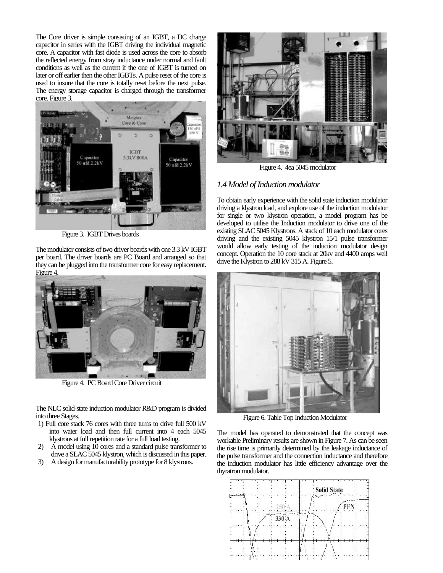The Core driver is simple consisting of an IGBT, a DC charge capacitor in series with the IGBT driving the individual magnetic core. A capacitor with fast diode is used across the core to absorb the reflected energy from stray inductance under normal and fault conditions as well as the current if the one of IGBT is turned on later or off earlier then the other IGBTs. A pulse reset of the core is used to insure that the core is totally reset before the next pulse. The energy storage capacitor is charged through the transformer core. Figure 3.



Figure 3. IGBT Drives boards

The modulator consists of two driver boards with one 3.3 kV IGBT per board. The driver boards are PC Board and arranged so that they can be plugged into the transformer core for easy replacement. Figure 4.



Figure 4. PC Board Core Driver circuit

The NLC solid-state induction modulator R&D program is divided into three Stages.

- 1) Full core stack 76 cores with three turns to drive full 500 kV into water load and then full current into 4 each 5045 klystrons at full repetition rate for a full load testing.
- 2)  $\AA$  model using 10 cores and a standard pulse transformer to drive a SLAC 5045 klystron, which is discussed in this paper.
- 3) A design for manufacturability prototype for 8 klystrons.



Figure 4. 4ea 5045 modulator

# *1.4 Model of Induction modulator*

To obtain early experience with the solid state induction modulator driving a klystron load, and explore use of the induction modulator for single or two klystron operation, a model program has be developed to utilise the Induction modulator to drive one of the existing SLAC 5045 Klystrons. A stack of 10 each modulator cores driving and the existing 5045 klystron 15/1 pulse transformer would allow early testing of the induction modulator design concept. Operation the 10 core stack at 20kv and 4400 amps well drive the Klystron to 288 kV 315 A. Figure 5.



Figure 6. Table Top Induction Modulator

The model has operated to demonstrated that the concept was workable Preliminary results are shown in Figure 7. As can be seen the rise time is primarily determined by the leakage inductance of the pulse transformer and the connection inductance and therefore the induction modulator has little efficiency advantage over the thyratron modulator.